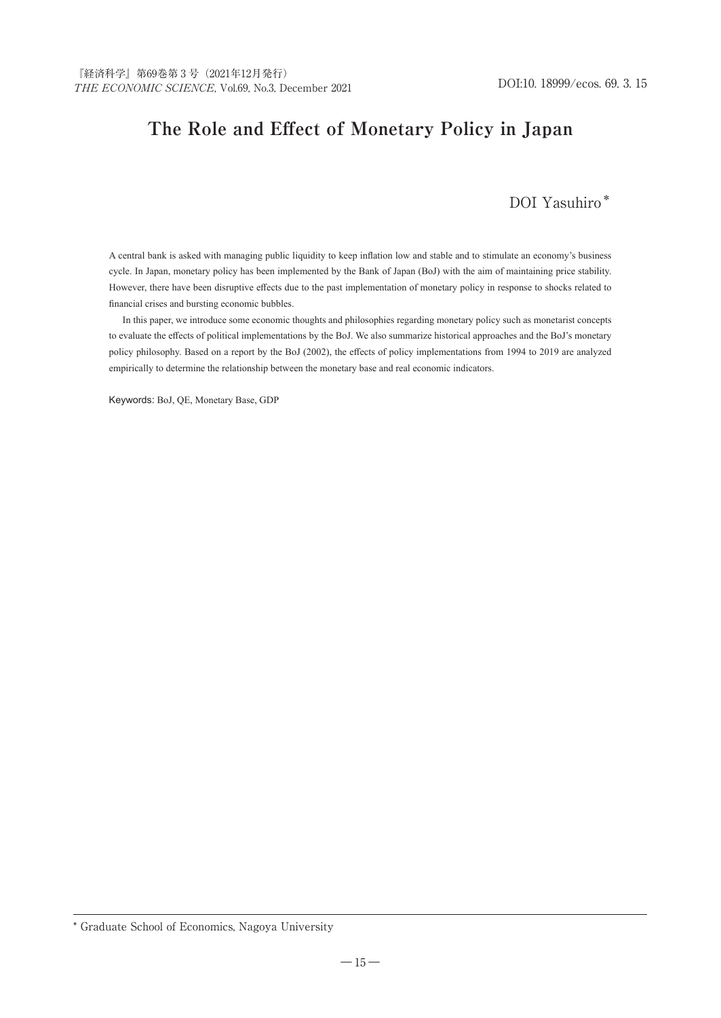# **The Role and Effect of Monetary Policy in Japan**

## DOI Yasuhiro\*

A central bank is asked with managing public liquidity to keep inflation low and stable and to stimulate an economy's business cycle. In Japan, monetary policy has been implemented by the Bank of Japan (BoJ) with the aim of maintaining price stability. However, there have been disruptive effects due to the past implementation of monetary policy in response to shocks related to financial crises and bursting economic bubbles.

In this paper, we introduce some economic thoughts and philosophies regarding monetary policy such as monetarist concepts to evaluate the effects of political implementations by the BoJ. We also summarize historical approaches and the BoJ's monetary policy philosophy. Based on a report by the BoJ (2002), the effects of policy implementations from 1994 to 2019 are analyzed empirically to determine the relationship between the monetary base and real economic indicators.

Keywords: BoJ, QE, Monetary Base, GDP

<sup>\*</sup> Graduate School of Economics, Nagoya University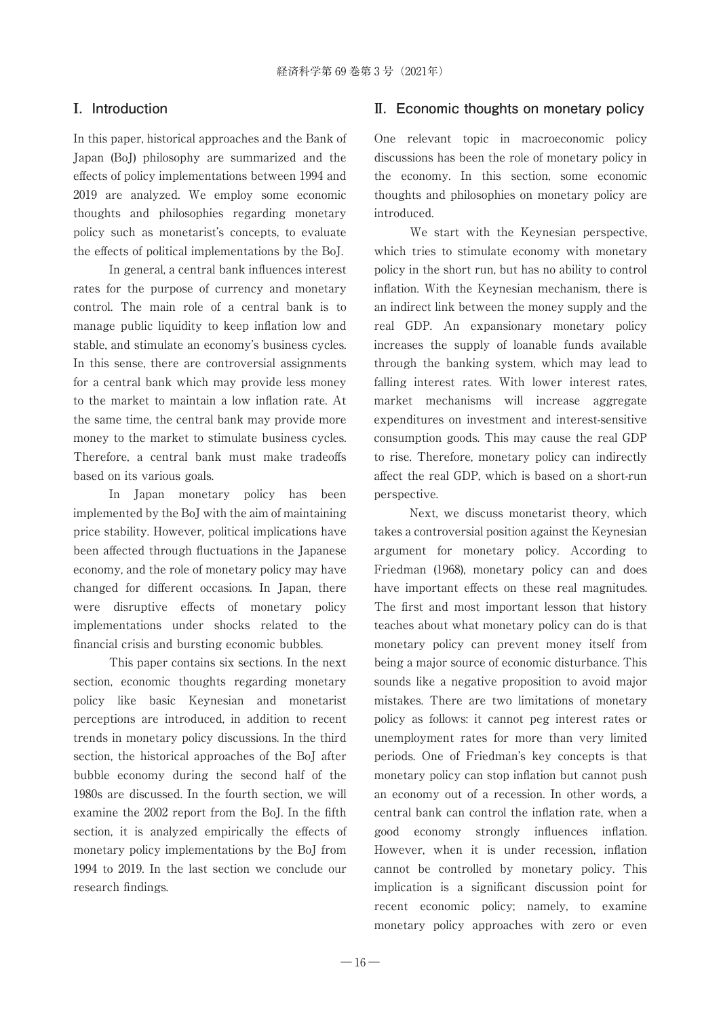### **Ⅰ. Introduction**

In this paper, historical approaches and the Bank of Japan (BoJ) philosophy are summarized and the effects of policy implementations between 1994 and 2019 are analyzed. We employ some economic thoughts and philosophies regarding monetary policy such as monetarist's concepts, to evaluate the effects of political implementations by the BoJ.

In general, a central bank influences interest rates for the purpose of currency and monetary control. The main role of a central bank is to manage public liquidity to keep inflation low and stable, and stimulate an economy's business cycles. In this sense, there are controversial assignments for a central bank which may provide less money to the market to maintain a low inflation rate. At the same time, the central bank may provide more money to the market to stimulate business cycles. Therefore, a central bank must make tradeoffs based on its various goals.

In Japan monetary policy has been implemented by the BoJ with the aim of maintaining price stability. However, political implications have been affected through fluctuations in the Japanese economy, and the role of monetary policy may have changed for different occasions. In Japan, there were disruptive effects of monetary policy implementations under shocks related to the financial crisis and bursting economic bubbles.

This paper contains six sections. In the next section, economic thoughts regarding monetary policy like basic Keynesian and monetarist perceptions are introduced, in addition to recent trends in monetary policy discussions. In the third section, the historical approaches of the BoJ after bubble economy during the second half of the 1980s are discussed. In the fourth section, we will examine the 2002 report from the BoJ. In the fifth section, it is analyzed empirically the effects of monetary policy implementations by the BoJ from 1994 to 2019. In the last section we conclude our research findings.

#### **Ⅱ. Economic thoughts on monetary policy**

One relevant topic in macroeconomic policy discussions has been the role of monetary policy in the economy. In this section, some economic thoughts and philosophies on monetary policy are introduced.

We start with the Keynesian perspective, which tries to stimulate economy with monetary policy in the short run, but has no ability to control inflation. With the Keynesian mechanism, there is an indirect link between the money supply and the real GDP. An expansionary monetary policy increases the supply of loanable funds available through the banking system, which may lead to falling interest rates. With lower interest rates, market mechanisms will increase aggregate expenditures on investment and interest‐sensitive consumption goods. This may cause the real GDP to rise. Therefore, monetary policy can indirectly affect the real GDP, which is based on a short-run perspective.

Next, we discuss monetarist theory, which takes a controversial position against the Keynesian argument for monetary policy. According to Friedman (1968), monetary policy can and does have important effects on these real magnitudes. The first and most important lesson that history teaches about what monetary policy can do is that monetary policy can prevent money itself from being a major source of economic disturbance. This sounds like a negative proposition to avoid major mistakes. There are two limitations of monetary policy as follows: it cannot peg interest rates or unemployment rates for more than very limited periods. One of Friedman's key concepts is that monetary policy can stop inflation but cannot push an economy out of a recession. In other words, a central bank can control the inflation rate, when a good economy strongly influences inflation. However, when it is under recession, inflation cannot be controlled by monetary policy. This implication is a significant discussion point for recent economic policy; namely, to examine monetary policy approaches with zero or even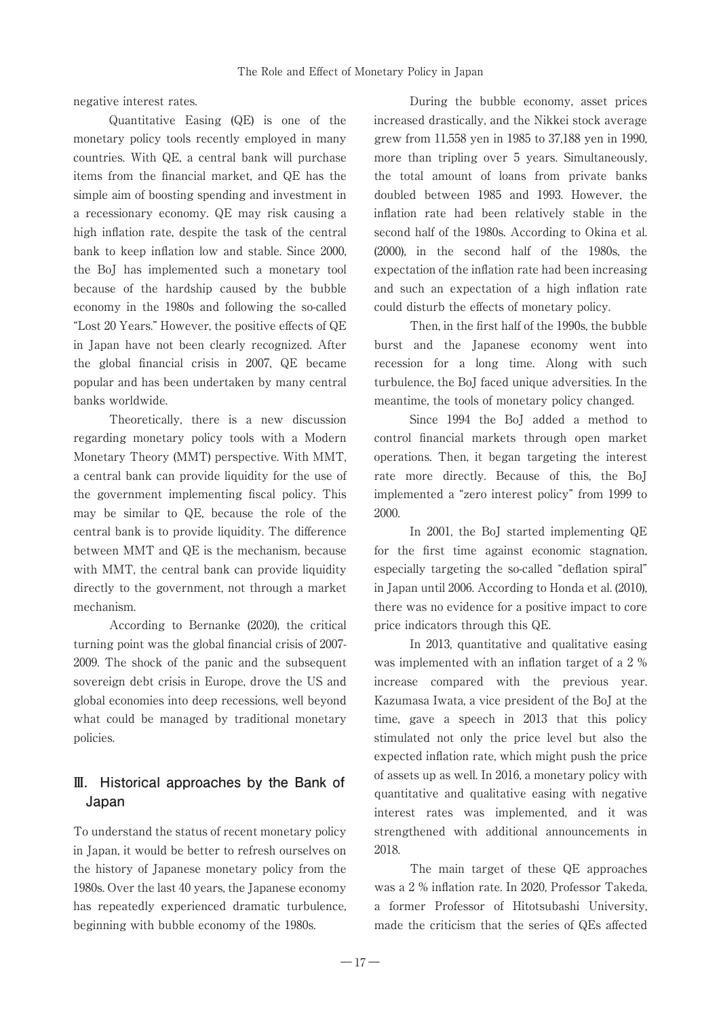negative interest rates.

Quantitative Easing (QE) is one of the monetary policy tools recently employed in many countries. With QE, a central bank will purchase items from the financial market, and QE has the simple aim of boosting spending and investment in a recessionary economy. QE may risk causing a high inflation rate, despite the task of the central bank to keep inflation low and stable. Since 2000, the BoJ has implemented such a monetary tool because of the hardship caused by the bubble economy in the 1980s and following the so-called "Lost 20 Years." However, the positive effects of QE in Japan have not been clearly recognized. After the global financial crisis in 2007, QE became popular and has been undertaken by many central banks worldwide.

Theoretically, there is a new discussion regarding monetary policy tools with a Modern Monetary Theory (MMT) perspective. With MMT, a central bank can provide liquidity for the use of the government implementing fiscal policy. This may be similar to QE, because the role of the central bank is to provide liquidity. The difference between MMT and QE is the mechanism, because with MMT, the central bank can provide liquidity directly to the government, not through a market mechanism.

According to Bernanke (2020), the critical turning point was the global financial crisis of 2007- 2009. The shock of the panic and the subsequent sovereign debt crisis in Europe, drove the US and global economies into deep recessions, well beyond what could be managed by traditional monetary policies.

### **Ⅲ. Historical approaches by the Bank of Japan**

To understand the status of recent monetary policy in Japan, it would be better to refresh ourselves on the history of Japanese monetary policy from the 1980s. Over the last 40 years, the Japanese economy has repeatedly experienced dramatic turbulence, beginning with bubble economy of the 1980s.

During the bubble economy, asset prices increased drastically, and the Nikkei stock average grew from 11,558 yen in 1985 to 37,188 yen in 1990, more than tripling over 5 years. Simultaneously, the total amount of loans from private banks doubled between 1985 and 1993. However, the inflation rate had been relatively stable in the second half of the 1980s. According to Okina et al. (2000), in the second half of the 1980s, the expectation of the inflation rate had been increasing and such an expectation of a high inflation rate could disturb the effects of monetary policy.

Then, in the first half of the 1990s, the bubble burst and the Japanese economy went into recession for a long time. Along with such turbulence, the BoJ faced unique adversities. In the meantime, the tools of monetary policy changed.

Since 1994 the BoJ added a method to control financial markets through open market operations. Then, it began targeting the interest rate more directly. Because of this, the BoJ implemented a "zero interest policy" from 1999 to 2000.

In 2001, the BoJ started implementing QE for the first time against economic stagnation, especially targeting the so-called "deflation spiral" in Japan until 2006. According to Honda et al. (2010), there was no evidence for a positive impact to core price indicators through this QE.

In 2013, quantitative and qualitative easing was implemented with an inflation target of a 2 % increase compared with the previous year. Kazumasa Iwata, a vice president of the BoJ at the time, gave a speech in 2013 that this policy stimulated not only the price level but also the expected inflation rate, which might push the price of assets up as well. In 2016, a monetary policy with quantitative and qualitative easing with negative interest rates was implemented, and it was strengthened with additional announcements in 2018.

The main target of these QE approaches was a 2 % inflation rate. In 2020, Professor Takeda, a former Professor of Hitotsubashi University, made the criticism that the series of QEs affected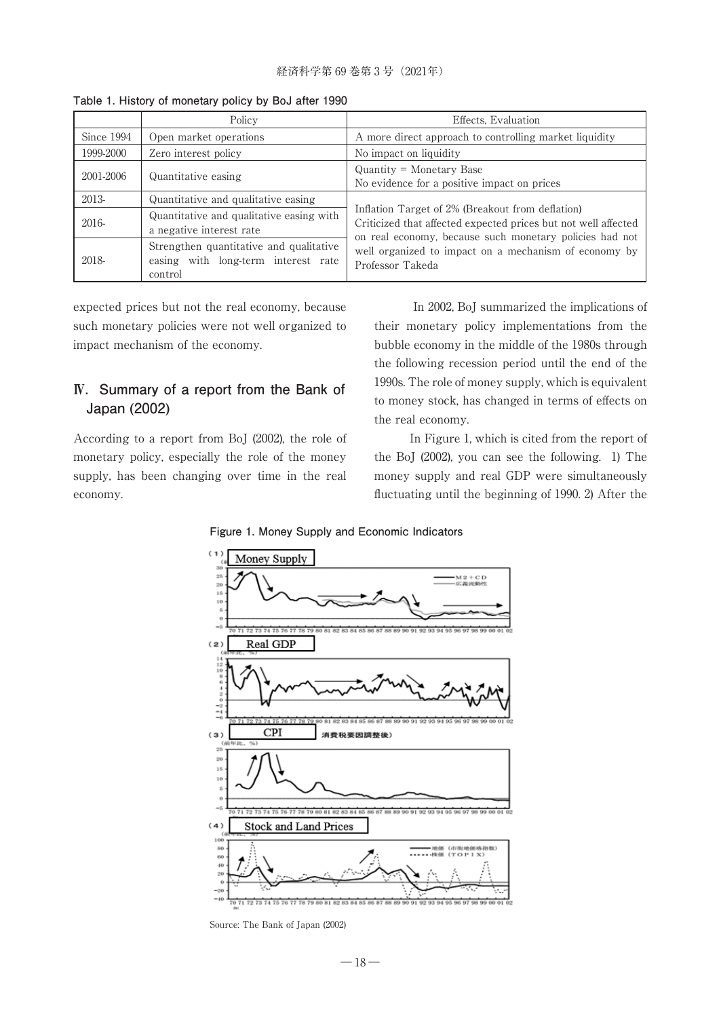|            | Policy                                                                                    | Effects, Evaluation                                                                                                                                                                                                                                        |  |  |
|------------|-------------------------------------------------------------------------------------------|------------------------------------------------------------------------------------------------------------------------------------------------------------------------------------------------------------------------------------------------------------|--|--|
| Since 1994 | Open market operations                                                                    | A more direct approach to controlling market liquidity                                                                                                                                                                                                     |  |  |
| 1999-2000  | Zero interest policy                                                                      | No impact on liquidity                                                                                                                                                                                                                                     |  |  |
| 2001-2006  | Quantitative easing                                                                       | $Quantity = Monetary Base$<br>No evidence for a positive impact on prices                                                                                                                                                                                  |  |  |
| 2013-      | Quantitative and qualitative easing                                                       | Inflation Target of 2% (Breakout from deflation)<br>Criticized that affected expected prices but not well affected<br>on real economy, because such monetary policies had not<br>well organized to impact on a mechanism of economy by<br>Professor Takeda |  |  |
| 2016-      | Quantitative and qualitative easing with.<br>a negative interest rate                     |                                                                                                                                                                                                                                                            |  |  |
| 2018-      | Strengthen quantitative and qualitative<br>easing with long-term interest rate<br>control |                                                                                                                                                                                                                                                            |  |  |

**Table 1. History of monetary policy by BoJ after 1990**

expected prices but not the real economy, because such monetary policies were not well organized to impact mechanism of the economy.

### **Ⅳ. Summary of a report from the Bank of Japan (2002)**

According to a report from BoJ (2002), the role of monetary policy, especially the role of the money supply, has been changing over time in the real economy.

In 2002, BoJ summarized the implications of their monetary policy implementations from the bubble economy in the middle of the 1980s through the following recession period until the end of the 1990s. The role of money supply, which is equivalent to money stock, has changed in terms of effects on the real economy.

In Figure 1, which is cited from the report of the BoJ (2002), you can see the following. 1) The money supply and real GDP were simultaneously fluctuating until the beginning of 1990. 2) After the

**Figure 1. Money Supply and Economic Indicators**



Source: The Bank of Japan (2002)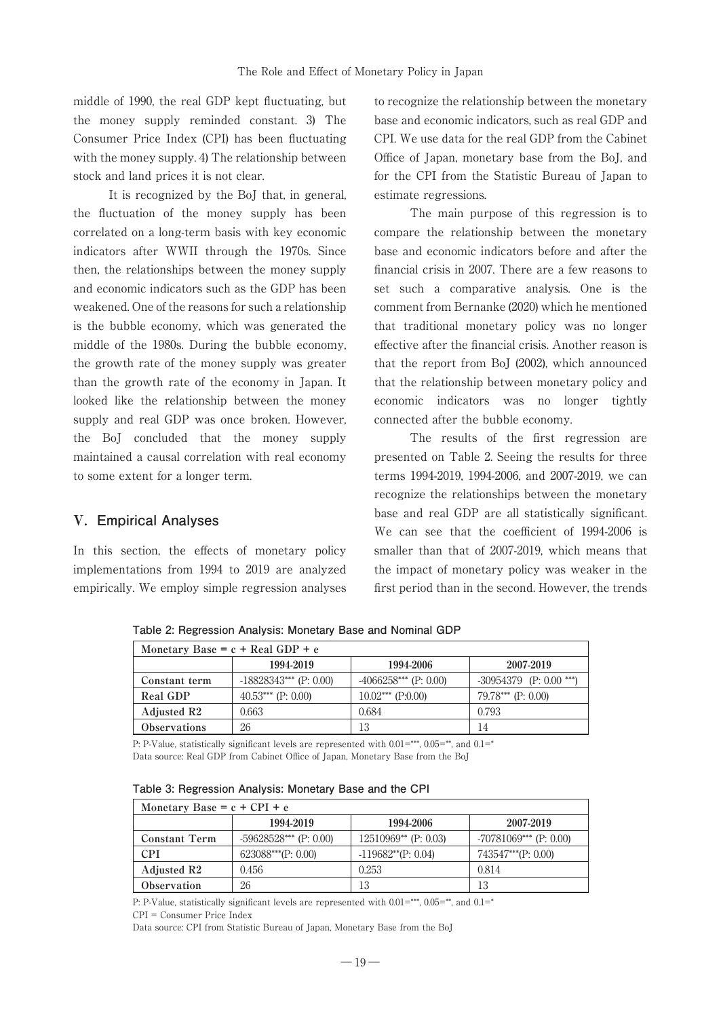middle of 1990, the real GDP kept fluctuating, but the money supply reminded constant. 3) The Consumer Price Index (CPI) has been fluctuating with the money supply. 4) The relationship between stock and land prices it is not clear.

It is recognized by the BoJ that, in general, the fluctuation of the money supply has been correlated on a long-term basis with key economic indicators after WWII through the 1970s. Since then, the relationships between the money supply and economic indicators such as the GDP has been weakened. One of the reasons for such a relationship is the bubble economy, which was generated the middle of the 1980s. During the bubble economy, the growth rate of the money supply was greater than the growth rate of the economy in Japan. It looked like the relationship between the money supply and real GDP was once broken. However, the BoJ concluded that the money supply maintained a causal correlation with real economy to some extent for a longer term.

### **Ⅴ. Empirical Analyses**

In this section, the effects of monetary policy implementations from 1994 to 2019 are analyzed empirically. We employ simple regression analyses to recognize the relationship between the monetary base and economic indicators, such as real GDP and CPI. We use data for the real GDP from the Cabinet Office of Japan, monetary base from the BoJ, and for the CPI from the Statistic Bureau of Japan to estimate regressions.

The main purpose of this regression is to compare the relationship between the monetary base and economic indicators before and after the financial crisis in 2007. There are a few reasons to set such a comparative analysis. One is the comment from Bernanke (2020) which he mentioned that traditional monetary policy was no longer effective after the financial crisis. Another reason is that the report from BoJ (2002), which announced that the relationship between monetary policy and economic indicators was no longer tightly connected after the bubble economy.

The results of the first regression are presented on Table 2. Seeing the results for three terms 1994-2019, 1994-2006, and 2007-2019, we can recognize the relationships between the monetary base and real GDP are all statistically significant. We can see that the coefficient of 1994-2006 is smaller than that of 2007-2019, which means that the impact of monetary policy was weaker in the first period than in the second. However, the trends

**Monetary Base = c + Real GDP + e 1994-2019 1994-2006 2007-2019 Constant term**  $\qquad$  -18828343\*\*\* (P: 0.00)  $\qquad$  -4066258\*\*\* (P: 0.00) -30954379 (P: 0.00 \*\*\*) **Real GDP** 40.53\*\*\* (P: 0.00) 10.02\*\*\* (P:0.00) 79.78\*\*\* (P: 0.00) **Adjusted R2** 0.663 0.684 0.793 **Observations** 26 13 14

**Table 2: Regression Analysis: Monetary Base and Nominal GDP**

P: P-Value, statistically significant levels are represented with  $0.01 =***$ ,  $0.05 =**$ , and  $0.1 =*$ Data source: Real GDP from Cabinet Office of Japan, Monetary Base from the BoJ

| Table 3: Regression Analysis: Monetary Base and the CPI |  |  |  |  |
|---------------------------------------------------------|--|--|--|--|
|---------------------------------------------------------|--|--|--|--|

| Monetary Base = $c + CPI + e$ |                          |                          |                          |  |  |  |  |
|-------------------------------|--------------------------|--------------------------|--------------------------|--|--|--|--|
|                               | 1994-2019                | 1994-2006                | 2007-2019                |  |  |  |  |
| <b>Constant Term</b>          | $-59628528***$ (P: 0.00) | $12510969**$ (P: 0.03)   | $-70781069***$ (P: 0.00) |  |  |  |  |
| <b>CPI</b>                    | $623088***$ (P: 0.00)    | $-119682^{**}$ (P: 0.04) | $743547***$ (P: 0.00)    |  |  |  |  |
| Adjusted R2                   | 0.456                    | 0.253                    | 0.814                    |  |  |  |  |
| Observation                   | 26                       | 13                       | 13                       |  |  |  |  |

P: P-Value, statistically significant levels are represented with  $0.01 =***$ ,  $0.05 =**$ , and  $0.1 =*$ 

CPI = Consumer Price Index

Data source: CPI from Statistic Bureau of Japan, Monetary Base from the BoJ